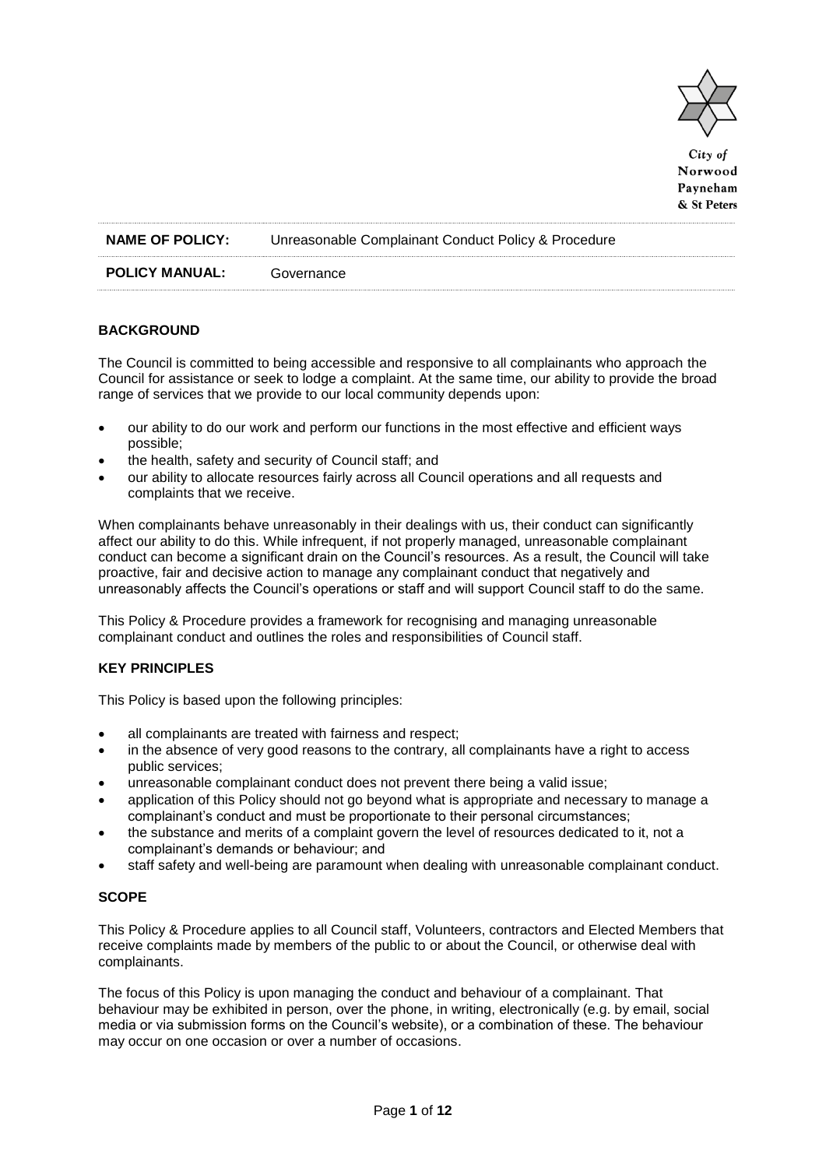

City of Norwood Payneham & St Peters

| <b>NAME OF POLICY:</b> | Unreasonable Complainant Conduct Policy & Procedure |
|------------------------|-----------------------------------------------------|
| <b>POLICY MANUAL:</b>  | Governance                                          |

# **BACKGROUND**

The Council is committed to being accessible and responsive to all complainants who approach the Council for assistance or seek to lodge a complaint. At the same time, our ability to provide the broad range of services that we provide to our local community depends upon:

- our ability to do our work and perform our functions in the most effective and efficient ways possible;
- the health, safety and security of Council staff; and
- our ability to allocate resources fairly across all Council operations and all requests and complaints that we receive.

When complainants behave unreasonably in their dealings with us, their conduct can significantly affect our ability to do this. While infrequent, if not properly managed, unreasonable complainant conduct can become a significant drain on the Council's resources. As a result, the Council will take proactive, fair and decisive action to manage any complainant conduct that negatively and unreasonably affects the Council's operations or staff and will support Council staff to do the same.

This Policy & Procedure provides a framework for recognising and managing unreasonable complainant conduct and outlines the roles and responsibilities of Council staff.

# **KEY PRINCIPLES**

This Policy is based upon the following principles:

- all complainants are treated with fairness and respect;
- in the absence of very good reasons to the contrary, all complainants have a right to access public services;
- unreasonable complainant conduct does not prevent there being a valid issue;
- application of this Policy should not go beyond what is appropriate and necessary to manage a complainant's conduct and must be proportionate to their personal circumstances;
- the substance and merits of a complaint govern the level of resources dedicated to it, not a complainant's demands or behaviour; and
- staff safety and well-being are paramount when dealing with unreasonable complainant conduct.

# **SCOPE**

This Policy & Procedure applies to all Council staff, Volunteers, contractors and Elected Members that receive complaints made by members of the public to or about the Council, or otherwise deal with complainants.

The focus of this Policy is upon managing the conduct and behaviour of a complainant. That behaviour may be exhibited in person, over the phone, in writing, electronically (e.g. by email, social media or via submission forms on the Council's website), or a combination of these. The behaviour may occur on one occasion or over a number of occasions.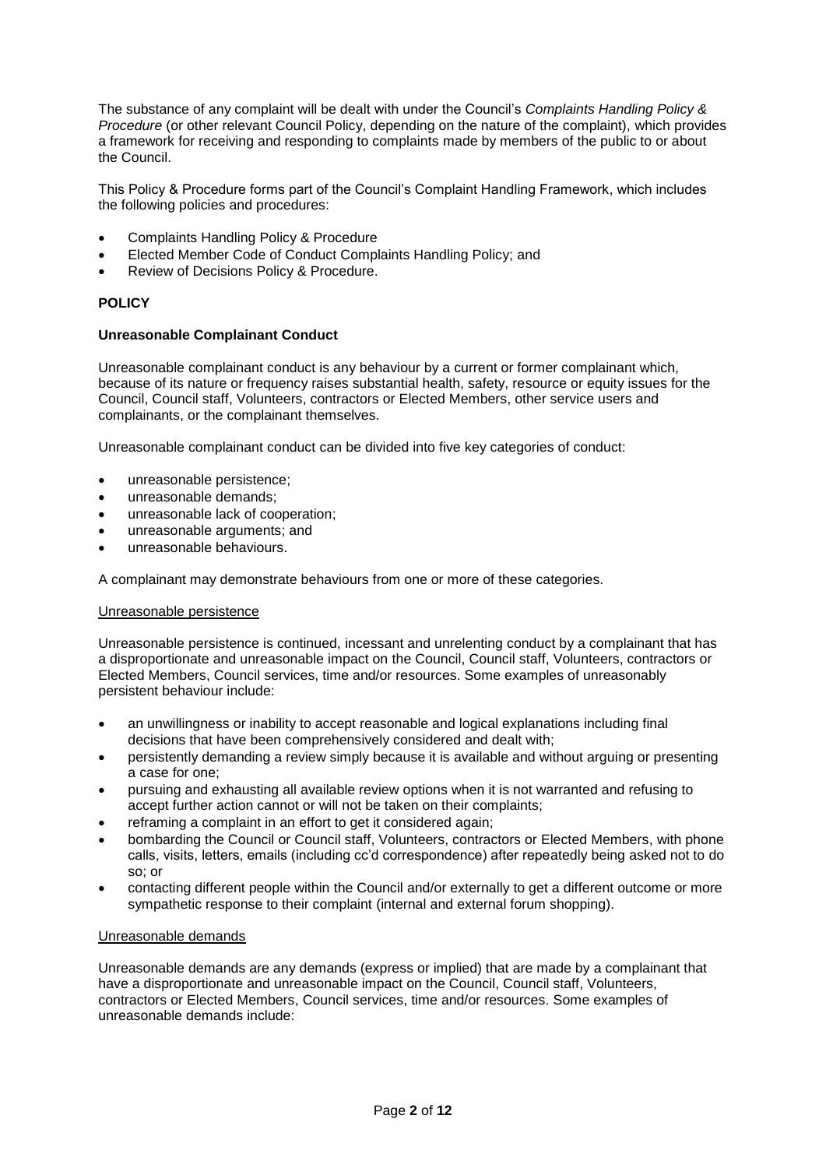The substance of any complaint will be dealt with under the Council's *Complaints Handling Policy & Procedure* (or other relevant Council Policy, depending on the nature of the complaint), which provides a framework for receiving and responding to complaints made by members of the public to or about the Council.

This Policy & Procedure forms part of the Council's Complaint Handling Framework, which includes the following policies and procedures:

- Complaints Handling Policy & Procedure
- Elected Member Code of Conduct Complaints Handling Policy; and
- Review of Decisions Policy & Procedure.

# **POLICY**

# **Unreasonable Complainant Conduct**

Unreasonable complainant conduct is any behaviour by a current or former complainant which, because of its nature or frequency raises substantial health, safety, resource or equity issues for the Council, Council staff, Volunteers, contractors or Elected Members, other service users and complainants, or the complainant themselves.

Unreasonable complainant conduct can be divided into five key categories of conduct:

- unreasonable persistence;
- unreasonable demands;
- unreasonable lack of cooperation;
- unreasonable arguments; and
- unreasonable behaviours.

A complainant may demonstrate behaviours from one or more of these categories.

# Unreasonable persistence

Unreasonable persistence is continued, incessant and unrelenting conduct by a complainant that has a disproportionate and unreasonable impact on the Council, Council staff, Volunteers, contractors or Elected Members, Council services, time and/or resources. Some examples of unreasonably persistent behaviour include:

- an unwillingness or inability to accept reasonable and logical explanations including final decisions that have been comprehensively considered and dealt with;
- persistently demanding a review simply because it is available and without arguing or presenting a case for one;
- pursuing and exhausting all available review options when it is not warranted and refusing to accept further action cannot or will not be taken on their complaints;
- reframing a complaint in an effort to get it considered again:
- bombarding the Council or Council staff, Volunteers, contractors or Elected Members, with phone calls, visits, letters, emails (including cc'd correspondence) after repeatedly being asked not to do so; or
- contacting different people within the Council and/or externally to get a different outcome or more sympathetic response to their complaint (internal and external forum shopping).

# Unreasonable demands

Unreasonable demands are any demands (express or implied) that are made by a complainant that have a disproportionate and unreasonable impact on the Council, Council staff, Volunteers, contractors or Elected Members, Council services, time and/or resources. Some examples of unreasonable demands include: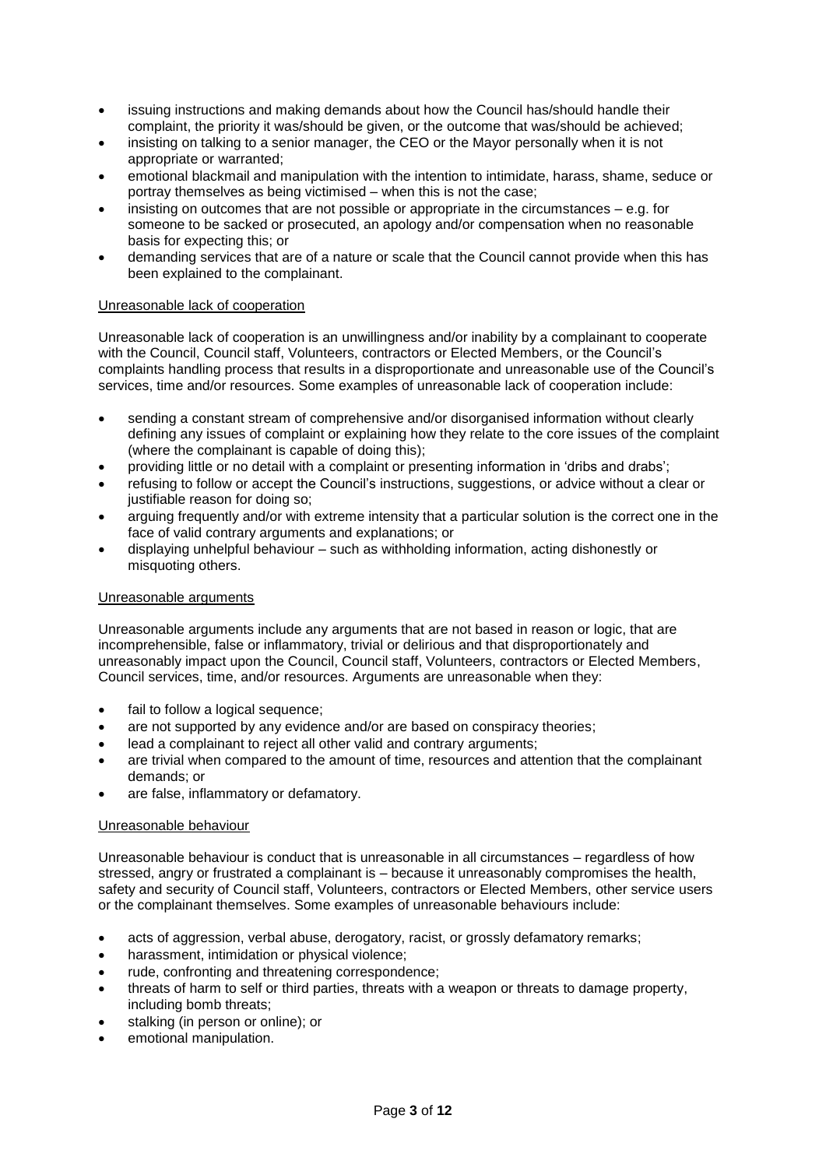- issuing instructions and making demands about how the Council has/should handle their complaint, the priority it was/should be given, or the outcome that was/should be achieved;
- insisting on talking to a senior manager, the CEO or the Mayor personally when it is not appropriate or warranted;
- emotional blackmail and manipulation with the intention to intimidate, harass, shame, seduce or portray themselves as being victimised – when this is not the case;
- insisting on outcomes that are not possible or appropriate in the circumstances e.g. for someone to be sacked or prosecuted, an apology and/or compensation when no reasonable basis for expecting this; or
- demanding services that are of a nature or scale that the Council cannot provide when this has been explained to the complainant.

# Unreasonable lack of cooperation

Unreasonable lack of cooperation is an unwillingness and/or inability by a complainant to cooperate with the Council, Council staff, Volunteers, contractors or Elected Members, or the Council's complaints handling process that results in a disproportionate and unreasonable use of the Council's services, time and/or resources. Some examples of unreasonable lack of cooperation include:

- sending a constant stream of comprehensive and/or disorganised information without clearly defining any issues of complaint or explaining how they relate to the core issues of the complaint (where the complainant is capable of doing this);
- providing little or no detail with a complaint or presenting information in 'dribs and drabs';
- refusing to follow or accept the Council's instructions, suggestions, or advice without a clear or justifiable reason for doing so;
- arguing frequently and/or with extreme intensity that a particular solution is the correct one in the face of valid contrary arguments and explanations; or
- displaying unhelpful behaviour such as withholding information, acting dishonestly or misquoting others.

### Unreasonable arguments

Unreasonable arguments include any arguments that are not based in reason or logic, that are incomprehensible, false or inflammatory, trivial or delirious and that disproportionately and unreasonably impact upon the Council, Council staff, Volunteers, contractors or Elected Members, Council services, time, and/or resources. Arguments are unreasonable when they:

- fail to follow a logical sequence;
- are not supported by any evidence and/or are based on conspiracy theories;
- lead a complainant to reject all other valid and contrary arguments;
- are trivial when compared to the amount of time, resources and attention that the complainant demands; or
- are false, inflammatory or defamatory.

### Unreasonable behaviour

Unreasonable behaviour is conduct that is unreasonable in all circumstances – regardless of how stressed, angry or frustrated a complainant is – because it unreasonably compromises the health, safety and security of Council staff, Volunteers, contractors or Elected Members, other service users or the complainant themselves. Some examples of unreasonable behaviours include:

- acts of aggression, verbal abuse, derogatory, racist, or grossly defamatory remarks;
- harassment, intimidation or physical violence;
- rude, confronting and threatening correspondence;
- threats of harm to self or third parties, threats with a weapon or threats to damage property, including bomb threats;
- stalking (in person or online); or
- emotional manipulation.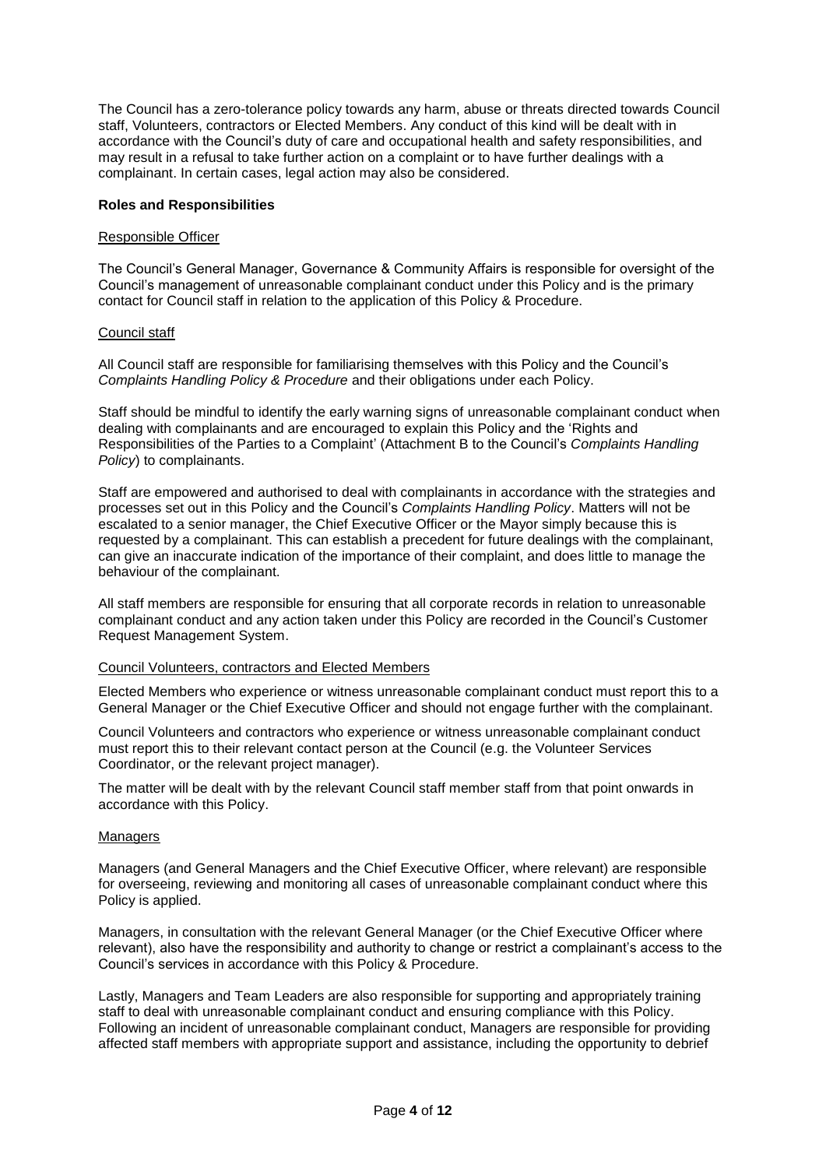The Council has a zero-tolerance policy towards any harm, abuse or threats directed towards Council staff, Volunteers, contractors or Elected Members. Any conduct of this kind will be dealt with in accordance with the Council's duty of care and occupational health and safety responsibilities, and may result in a refusal to take further action on a complaint or to have further dealings with a complainant. In certain cases, legal action may also be considered.

### **Roles and Responsibilities**

#### Responsible Officer

The Council's General Manager, Governance & Community Affairs is responsible for oversight of the Council's management of unreasonable complainant conduct under this Policy and is the primary contact for Council staff in relation to the application of this Policy & Procedure.

### Council staff

All Council staff are responsible for familiarising themselves with this Policy and the Council's *Complaints Handling Policy & Procedure* and their obligations under each Policy.

Staff should be mindful to identify the early warning signs of unreasonable complainant conduct when dealing with complainants and are encouraged to explain this Policy and the 'Rights and Responsibilities of the Parties to a Complaint' (Attachment B to the Council's *Complaints Handling Policy*) to complainants.

Staff are empowered and authorised to deal with complainants in accordance with the strategies and processes set out in this Policy and the Council's *Complaints Handling Policy*. Matters will not be escalated to a senior manager, the Chief Executive Officer or the Mayor simply because this is requested by a complainant. This can establish a precedent for future dealings with the complainant, can give an inaccurate indication of the importance of their complaint, and does little to manage the behaviour of the complainant.

All staff members are responsible for ensuring that all corporate records in relation to unreasonable complainant conduct and any action taken under this Policy are recorded in the Council's Customer Request Management System.

#### Council Volunteers, contractors and Elected Members

Elected Members who experience or witness unreasonable complainant conduct must report this to a General Manager or the Chief Executive Officer and should not engage further with the complainant.

Council Volunteers and contractors who experience or witness unreasonable complainant conduct must report this to their relevant contact person at the Council (e.g. the Volunteer Services Coordinator, or the relevant project manager).

The matter will be dealt with by the relevant Council staff member staff from that point onwards in accordance with this Policy.

#### Managers

Managers (and General Managers and the Chief Executive Officer, where relevant) are responsible for overseeing, reviewing and monitoring all cases of unreasonable complainant conduct where this Policy is applied.

Managers, in consultation with the relevant General Manager (or the Chief Executive Officer where relevant), also have the responsibility and authority to change or restrict a complainant's access to the Council's services in accordance with this Policy & Procedure.

Lastly, Managers and Team Leaders are also responsible for supporting and appropriately training staff to deal with unreasonable complainant conduct and ensuring compliance with this Policy. Following an incident of unreasonable complainant conduct, Managers are responsible for providing affected staff members with appropriate support and assistance, including the opportunity to debrief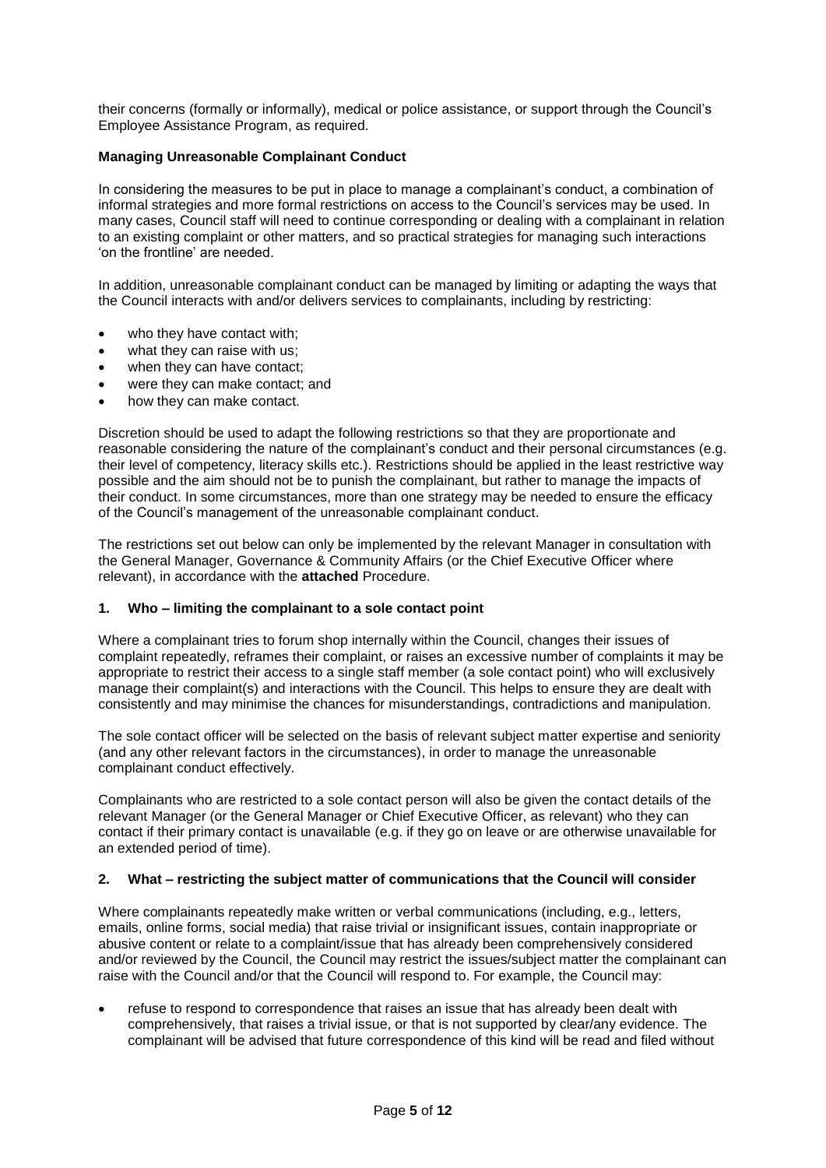their concerns (formally or informally), medical or police assistance, or support through the Council's Employee Assistance Program, as required.

# **Managing Unreasonable Complainant Conduct**

In considering the measures to be put in place to manage a complainant's conduct, a combination of informal strategies and more formal restrictions on access to the Council's services may be used. In many cases, Council staff will need to continue corresponding or dealing with a complainant in relation to an existing complaint or other matters, and so practical strategies for managing such interactions 'on the frontline' are needed.

In addition, unreasonable complainant conduct can be managed by limiting or adapting the ways that the Council interacts with and/or delivers services to complainants, including by restricting:

- who they have contact with:
- what they can raise with us;
- when they can have contact;
- were they can make contact; and
- how they can make contact.

Discretion should be used to adapt the following restrictions so that they are proportionate and reasonable considering the nature of the complainant's conduct and their personal circumstances (e.g. their level of competency, literacy skills etc.). Restrictions should be applied in the least restrictive way possible and the aim should not be to punish the complainant, but rather to manage the impacts of their conduct. In some circumstances, more than one strategy may be needed to ensure the efficacy of the Council's management of the unreasonable complainant conduct.

The restrictions set out below can only be implemented by the relevant Manager in consultation with the General Manager, Governance & Community Affairs (or the Chief Executive Officer where relevant), in accordance with the **attached** Procedure.

### **1. Who – limiting the complainant to a sole contact point**

Where a complainant tries to forum shop internally within the Council, changes their issues of complaint repeatedly, reframes their complaint, or raises an excessive number of complaints it may be appropriate to restrict their access to a single staff member (a sole contact point) who will exclusively manage their complaint(s) and interactions with the Council. This helps to ensure they are dealt with consistently and may minimise the chances for misunderstandings, contradictions and manipulation.

The sole contact officer will be selected on the basis of relevant subject matter expertise and seniority (and any other relevant factors in the circumstances), in order to manage the unreasonable complainant conduct effectively.

Complainants who are restricted to a sole contact person will also be given the contact details of the relevant Manager (or the General Manager or Chief Executive Officer, as relevant) who they can contact if their primary contact is unavailable (e.g. if they go on leave or are otherwise unavailable for an extended period of time).

### **2. What – restricting the subject matter of communications that the Council will consider**

Where complainants repeatedly make written or verbal communications (including, e.g., letters, emails, online forms, social media) that raise trivial or insignificant issues, contain inappropriate or abusive content or relate to a complaint/issue that has already been comprehensively considered and/or reviewed by the Council, the Council may restrict the issues/subject matter the complainant can raise with the Council and/or that the Council will respond to. For example, the Council may:

 refuse to respond to correspondence that raises an issue that has already been dealt with comprehensively, that raises a trivial issue, or that is not supported by clear/any evidence. The complainant will be advised that future correspondence of this kind will be read and filed without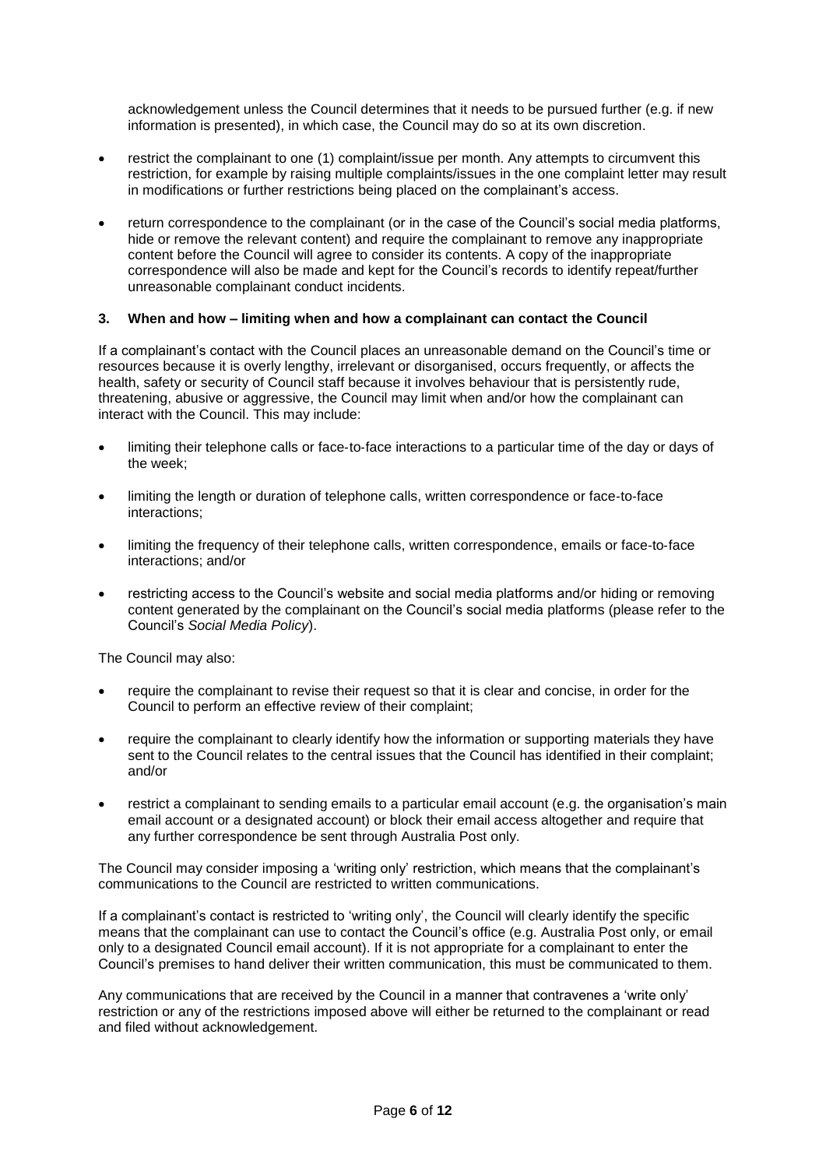acknowledgement unless the Council determines that it needs to be pursued further (e.g. if new information is presented), in which case, the Council may do so at its own discretion.

- restrict the complainant to one (1) complaint/issue per month. Any attempts to circumvent this restriction, for example by raising multiple complaints/issues in the one complaint letter may result in modifications or further restrictions being placed on the complainant's access.
- return correspondence to the complainant (or in the case of the Council's social media platforms, hide or remove the relevant content) and require the complainant to remove any inappropriate content before the Council will agree to consider its contents. A copy of the inappropriate correspondence will also be made and kept for the Council's records to identify repeat/further unreasonable complainant conduct incidents.

## **3. When and how – limiting when and how a complainant can contact the Council**

If a complainant's contact with the Council places an unreasonable demand on the Council's time or resources because it is overly lengthy, irrelevant or disorganised, occurs frequently, or affects the health, safety or security of Council staff because it involves behaviour that is persistently rude, threatening, abusive or aggressive, the Council may limit when and/or how the complainant can interact with the Council. This may include:

- limiting their telephone calls or face‐to‐face interactions to a particular time of the day or days of the week;
- limiting the length or duration of telephone calls, written correspondence or face‐to‐face interactions;
- limiting the frequency of their telephone calls, written correspondence, emails or face‐to‐face interactions; and/or
- restricting access to the Council's website and social media platforms and/or hiding or removing content generated by the complainant on the Council's social media platforms (please refer to the Council's *Social Media Policy*).

The Council may also:

- require the complainant to revise their request so that it is clear and concise, in order for the Council to perform an effective review of their complaint;
- require the complainant to clearly identify how the information or supporting materials they have sent to the Council relates to the central issues that the Council has identified in their complaint; and/or
- restrict a complainant to sending emails to a particular email account (e.g. the organisation's main email account or a designated account) or block their email access altogether and require that any further correspondence be sent through Australia Post only.

The Council may consider imposing a 'writing only' restriction, which means that the complainant's communications to the Council are restricted to written communications.

If a complainant's contact is restricted to 'writing only', the Council will clearly identify the specific means that the complainant can use to contact the Council's office (e.g. Australia Post only, or email only to a designated Council email account). If it is not appropriate for a complainant to enter the Council's premises to hand deliver their written communication, this must be communicated to them.

Any communications that are received by the Council in a manner that contravenes a 'write only' restriction or any of the restrictions imposed above will either be returned to the complainant or read and filed without acknowledgement.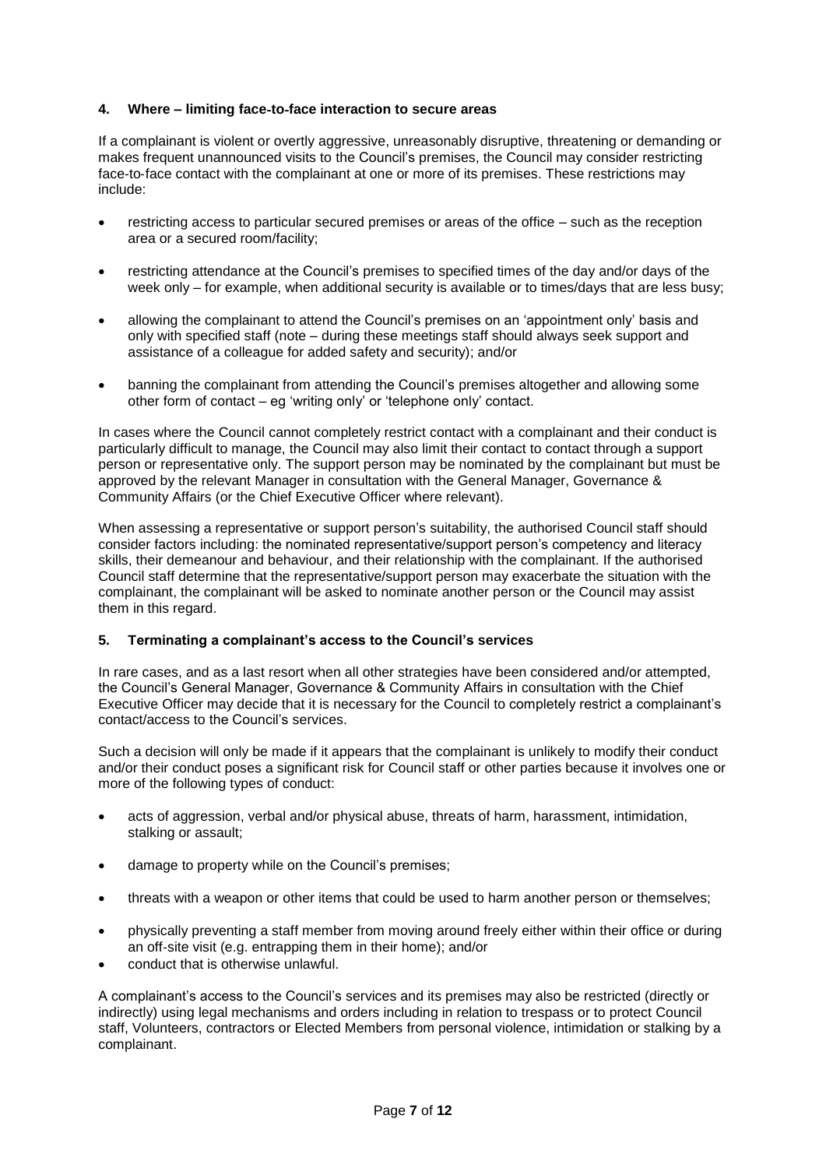## **4. Where – limiting face**‐**to**‐**face interaction to secure areas**

If a complainant is violent or overtly aggressive, unreasonably disruptive, threatening or demanding or makes frequent unannounced visits to the Council's premises, the Council may consider restricting face-to-face contact with the complainant at one or more of its premises. These restrictions may include:

- restricting access to particular secured premises or areas of the office such as the reception area or a secured room/facility;
- restricting attendance at the Council's premises to specified times of the day and/or days of the week only – for example, when additional security is available or to times/days that are less busy;
- allowing the complainant to attend the Council's premises on an 'appointment only' basis and only with specified staff (note – during these meetings staff should always seek support and assistance of a colleague for added safety and security); and/or
- banning the complainant from attending the Council's premises altogether and allowing some other form of contact – eg 'writing only' or 'telephone only' contact.

In cases where the Council cannot completely restrict contact with a complainant and their conduct is particularly difficult to manage, the Council may also limit their contact to contact through a support person or representative only. The support person may be nominated by the complainant but must be approved by the relevant Manager in consultation with the General Manager, Governance & Community Affairs (or the Chief Executive Officer where relevant).

When assessing a representative or support person's suitability, the authorised Council staff should consider factors including: the nominated representative/support person's competency and literacy skills, their demeanour and behaviour, and their relationship with the complainant. If the authorised Council staff determine that the representative/support person may exacerbate the situation with the complainant, the complainant will be asked to nominate another person or the Council may assist them in this regard.

### **5. Terminating a complainant's access to the Council's services**

In rare cases, and as a last resort when all other strategies have been considered and/or attempted, the Council's General Manager, Governance & Community Affairs in consultation with the Chief Executive Officer may decide that it is necessary for the Council to completely restrict a complainant's contact/access to the Council's services.

Such a decision will only be made if it appears that the complainant is unlikely to modify their conduct and/or their conduct poses a significant risk for Council staff or other parties because it involves one or more of the following types of conduct:

- acts of aggression, verbal and/or physical abuse, threats of harm, harassment, intimidation, stalking or assault;
- damage to property while on the Council's premises;
- threats with a weapon or other items that could be used to harm another person or themselves;
- physically preventing a staff member from moving around freely either within their office or during an off-site visit (e.g. entrapping them in their home); and/or
- conduct that is otherwise unlawful.

A complainant's access to the Council's services and its premises may also be restricted (directly or indirectly) using legal mechanisms and orders including in relation to trespass or to protect Council staff, Volunteers, contractors or Elected Members from personal violence, intimidation or stalking by a complainant.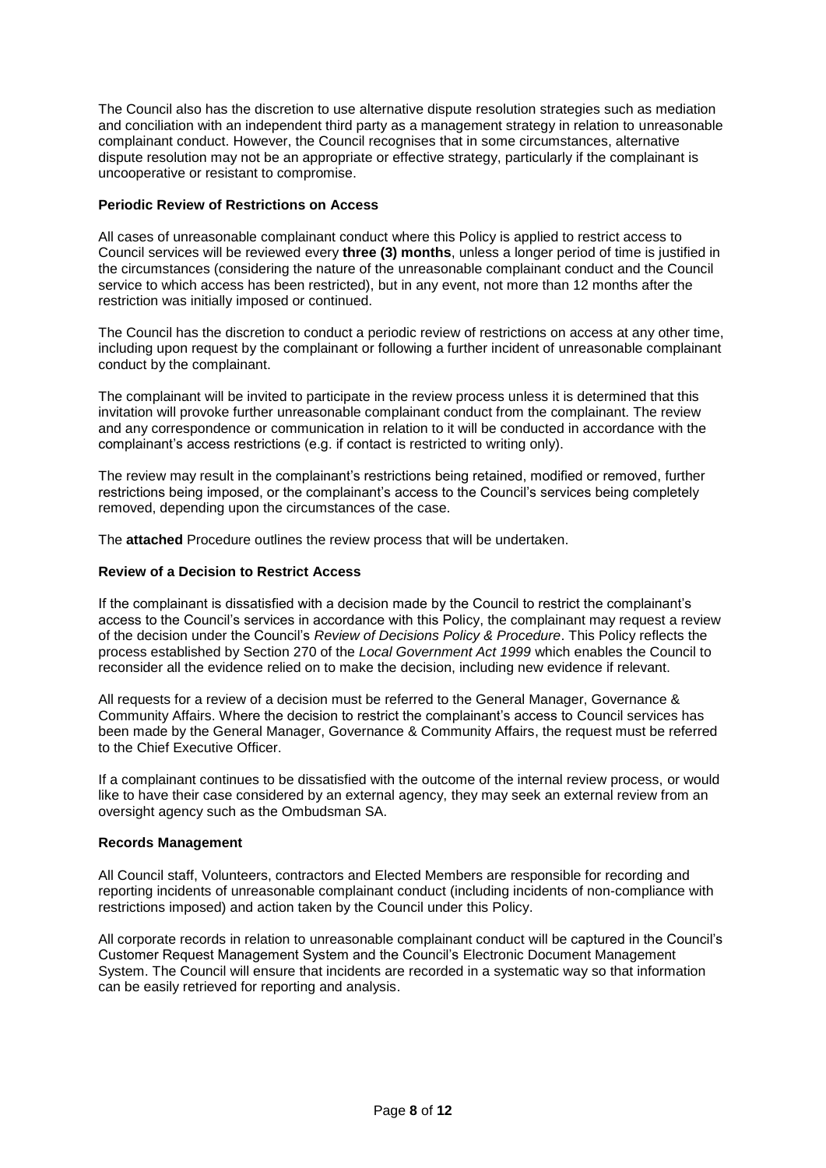The Council also has the discretion to use alternative dispute resolution strategies such as mediation and conciliation with an independent third party as a management strategy in relation to unreasonable complainant conduct. However, the Council recognises that in some circumstances, alternative dispute resolution may not be an appropriate or effective strategy, particularly if the complainant is uncooperative or resistant to compromise.

### **Periodic Review of Restrictions on Access**

All cases of unreasonable complainant conduct where this Policy is applied to restrict access to Council services will be reviewed every **three (3) months**, unless a longer period of time is justified in the circumstances (considering the nature of the unreasonable complainant conduct and the Council service to which access has been restricted), but in any event, not more than 12 months after the restriction was initially imposed or continued.

The Council has the discretion to conduct a periodic review of restrictions on access at any other time, including upon request by the complainant or following a further incident of unreasonable complainant conduct by the complainant.

The complainant will be invited to participate in the review process unless it is determined that this invitation will provoke further unreasonable complainant conduct from the complainant. The review and any correspondence or communication in relation to it will be conducted in accordance with the complainant's access restrictions (e.g. if contact is restricted to writing only).

The review may result in the complainant's restrictions being retained, modified or removed, further restrictions being imposed, or the complainant's access to the Council's services being completely removed, depending upon the circumstances of the case.

The **attached** Procedure outlines the review process that will be undertaken.

## **Review of a Decision to Restrict Access**

If the complainant is dissatisfied with a decision made by the Council to restrict the complainant's access to the Council's services in accordance with this Policy, the complainant may request a review of the decision under the Council's *Review of Decisions Policy & Procedure*. This Policy reflects the process established by Section 270 of the *Local Government Act 1999* which enables the Council to reconsider all the evidence relied on to make the decision, including new evidence if relevant.

All requests for a review of a decision must be referred to the General Manager, Governance & Community Affairs. Where the decision to restrict the complainant's access to Council services has been made by the General Manager, Governance & Community Affairs, the request must be referred to the Chief Executive Officer.

If a complainant continues to be dissatisfied with the outcome of the internal review process, or would like to have their case considered by an external agency, they may seek an external review from an oversight agency such as the Ombudsman SA.

### **Records Management**

All Council staff, Volunteers, contractors and Elected Members are responsible for recording and reporting incidents of unreasonable complainant conduct (including incidents of non-compliance with restrictions imposed) and action taken by the Council under this Policy.

All corporate records in relation to unreasonable complainant conduct will be captured in the Council's Customer Request Management System and the Council's Electronic Document Management System. The Council will ensure that incidents are recorded in a systematic way so that information can be easily retrieved for reporting and analysis.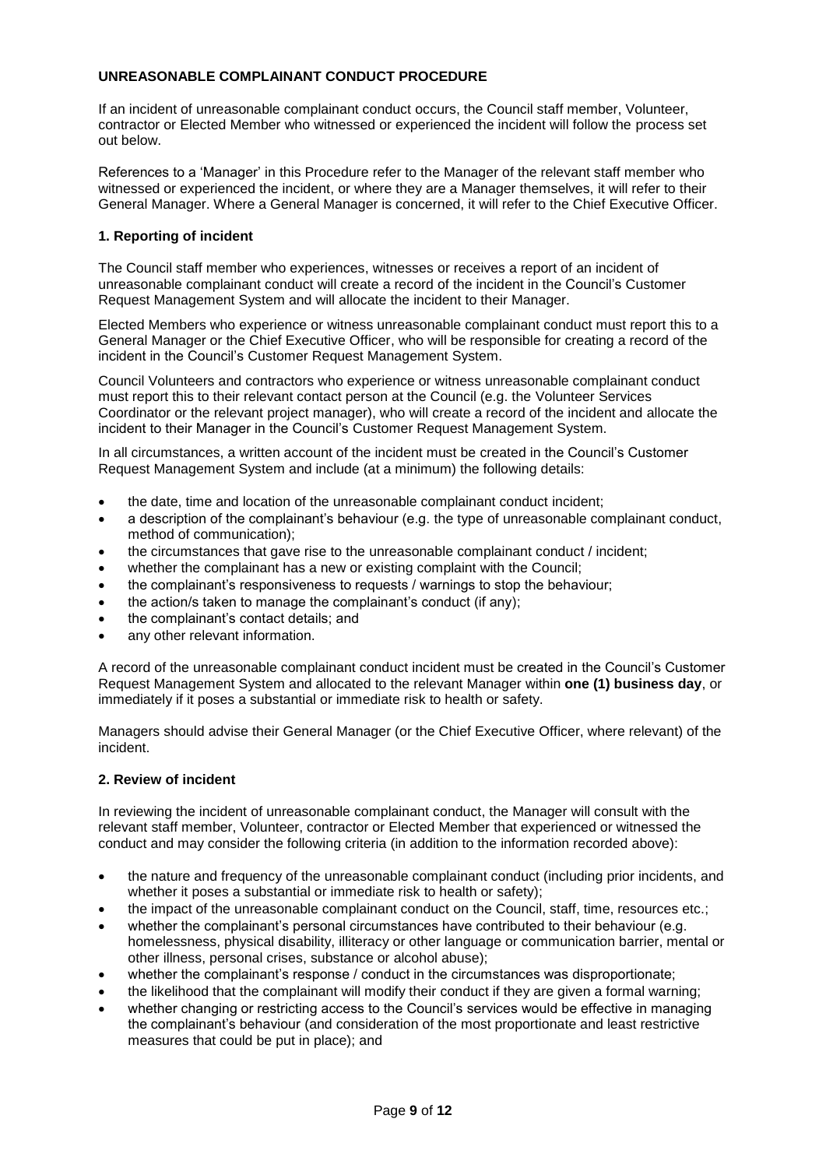# **UNREASONABLE COMPLAINANT CONDUCT PROCEDURE**

If an incident of unreasonable complainant conduct occurs, the Council staff member, Volunteer, contractor or Elected Member who witnessed or experienced the incident will follow the process set out below.

References to a 'Manager' in this Procedure refer to the Manager of the relevant staff member who witnessed or experienced the incident, or where they are a Manager themselves, it will refer to their General Manager. Where a General Manager is concerned, it will refer to the Chief Executive Officer.

# **1. Reporting of incident**

The Council staff member who experiences, witnesses or receives a report of an incident of unreasonable complainant conduct will create a record of the incident in the Council's Customer Request Management System and will allocate the incident to their Manager.

Elected Members who experience or witness unreasonable complainant conduct must report this to a General Manager or the Chief Executive Officer, who will be responsible for creating a record of the incident in the Council's Customer Request Management System.

Council Volunteers and contractors who experience or witness unreasonable complainant conduct must report this to their relevant contact person at the Council (e.g. the Volunteer Services Coordinator or the relevant project manager), who will create a record of the incident and allocate the incident to their Manager in the Council's Customer Request Management System.

In all circumstances, a written account of the incident must be created in the Council's Customer Request Management System and include (at a minimum) the following details:

- the date, time and location of the unreasonable complainant conduct incident;
- a description of the complainant's behaviour (e.g. the type of unreasonable complainant conduct, method of communication);
- the circumstances that gave rise to the unreasonable complainant conduct / incident;
- whether the complainant has a new or existing complaint with the Council;
- the complainant's responsiveness to requests / warnings to stop the behaviour;
- the action/s taken to manage the complainant's conduct (if any);
- the complainant's contact details; and
- any other relevant information.

A record of the unreasonable complainant conduct incident must be created in the Council's Customer Request Management System and allocated to the relevant Manager within **one (1) business day**, or immediately if it poses a substantial or immediate risk to health or safety.

Managers should advise their General Manager (or the Chief Executive Officer, where relevant) of the incident.

# **2. Review of incident**

In reviewing the incident of unreasonable complainant conduct, the Manager will consult with the relevant staff member, Volunteer, contractor or Elected Member that experienced or witnessed the conduct and may consider the following criteria (in addition to the information recorded above):

- the nature and frequency of the unreasonable complainant conduct (including prior incidents, and whether it poses a substantial or immediate risk to health or safety);
- the impact of the unreasonable complainant conduct on the Council, staff, time, resources etc.;
- whether the complainant's personal circumstances have contributed to their behaviour (e.g. homelessness, physical disability, illiteracy or other language or communication barrier, mental or other illness, personal crises, substance or alcohol abuse);
- whether the complainant's response / conduct in the circumstances was disproportionate;
- the likelihood that the complainant will modify their conduct if they are given a formal warning;
- whether changing or restricting access to the Council's services would be effective in managing the complainant's behaviour (and consideration of the most proportionate and least restrictive measures that could be put in place); and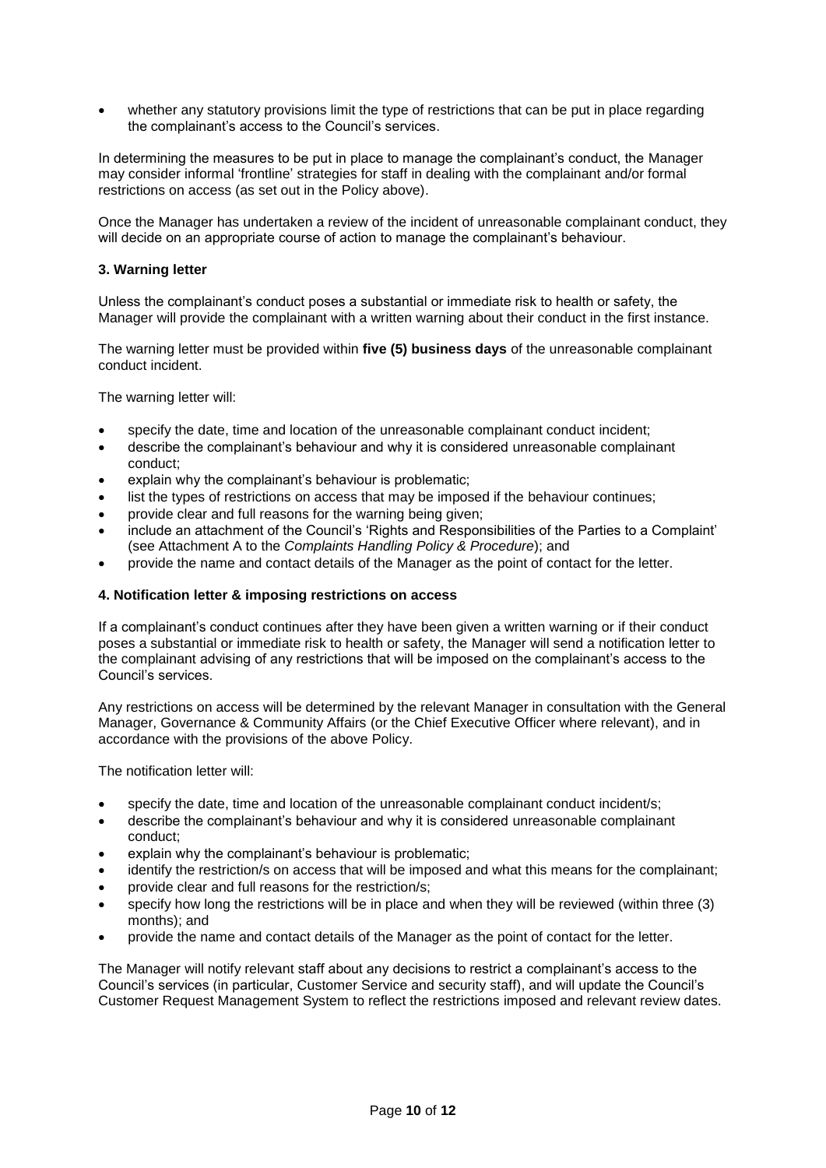whether any statutory provisions limit the type of restrictions that can be put in place regarding the complainant's access to the Council's services.

In determining the measures to be put in place to manage the complainant's conduct, the Manager may consider informal 'frontline' strategies for staff in dealing with the complainant and/or formal restrictions on access (as set out in the Policy above).

Once the Manager has undertaken a review of the incident of unreasonable complainant conduct, they will decide on an appropriate course of action to manage the complainant's behaviour.

## **3. Warning letter**

Unless the complainant's conduct poses a substantial or immediate risk to health or safety, the Manager will provide the complainant with a written warning about their conduct in the first instance.

The warning letter must be provided within **five (5) business days** of the unreasonable complainant conduct incident.

The warning letter will:

- specify the date, time and location of the unreasonable complainant conduct incident;
- describe the complainant's behaviour and why it is considered unreasonable complainant conduct;
- explain why the complainant's behaviour is problematic;
- list the types of restrictions on access that may be imposed if the behaviour continues;
- provide clear and full reasons for the warning being given;
- include an attachment of the Council's 'Rights and Responsibilities of the Parties to a Complaint' (see Attachment A to the *Complaints Handling Policy & Procedure*); and
- provide the name and contact details of the Manager as the point of contact for the letter.

### **4. Notification letter & imposing restrictions on access**

If a complainant's conduct continues after they have been given a written warning or if their conduct poses a substantial or immediate risk to health or safety, the Manager will send a notification letter to the complainant advising of any restrictions that will be imposed on the complainant's access to the Council's services.

Any restrictions on access will be determined by the relevant Manager in consultation with the General Manager, Governance & Community Affairs (or the Chief Executive Officer where relevant), and in accordance with the provisions of the above Policy.

The notification letter will:

- specify the date, time and location of the unreasonable complainant conduct incident/s;
- describe the complainant's behaviour and why it is considered unreasonable complainant conduct;
- explain why the complainant's behaviour is problematic;
- identify the restriction/s on access that will be imposed and what this means for the complainant;
- provide clear and full reasons for the restriction/s;
- specify how long the restrictions will be in place and when they will be reviewed (within three (3) months); and
- provide the name and contact details of the Manager as the point of contact for the letter.

The Manager will notify relevant staff about any decisions to restrict a complainant's access to the Council's services (in particular, Customer Service and security staff), and will update the Council's Customer Request Management System to reflect the restrictions imposed and relevant review dates.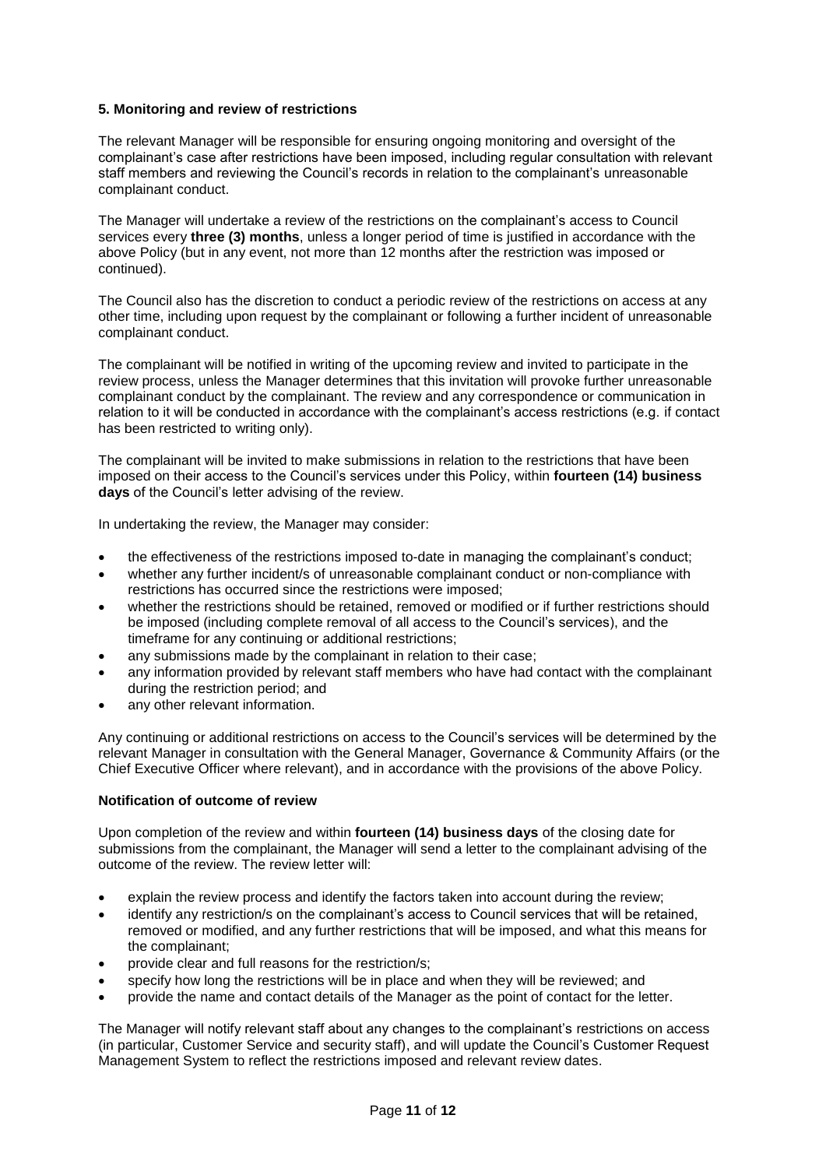## **5. Monitoring and review of restrictions**

The relevant Manager will be responsible for ensuring ongoing monitoring and oversight of the complainant's case after restrictions have been imposed, including regular consultation with relevant staff members and reviewing the Council's records in relation to the complainant's unreasonable complainant conduct.

The Manager will undertake a review of the restrictions on the complainant's access to Council services every **three (3) months**, unless a longer period of time is justified in accordance with the above Policy (but in any event, not more than 12 months after the restriction was imposed or continued).

The Council also has the discretion to conduct a periodic review of the restrictions on access at any other time, including upon request by the complainant or following a further incident of unreasonable complainant conduct.

The complainant will be notified in writing of the upcoming review and invited to participate in the review process, unless the Manager determines that this invitation will provoke further unreasonable complainant conduct by the complainant. The review and any correspondence or communication in relation to it will be conducted in accordance with the complainant's access restrictions (e.g. if contact has been restricted to writing only).

The complainant will be invited to make submissions in relation to the restrictions that have been imposed on their access to the Council's services under this Policy, within **fourteen (14) business days** of the Council's letter advising of the review.

In undertaking the review, the Manager may consider:

- the effectiveness of the restrictions imposed to-date in managing the complainant's conduct;
- whether any further incident/s of unreasonable complainant conduct or non-compliance with restrictions has occurred since the restrictions were imposed;
- whether the restrictions should be retained, removed or modified or if further restrictions should be imposed (including complete removal of all access to the Council's services), and the timeframe for any continuing or additional restrictions;
- any submissions made by the complainant in relation to their case;
- any information provided by relevant staff members who have had contact with the complainant during the restriction period; and
- any other relevant information.

Any continuing or additional restrictions on access to the Council's services will be determined by the relevant Manager in consultation with the General Manager, Governance & Community Affairs (or the Chief Executive Officer where relevant), and in accordance with the provisions of the above Policy.

### **Notification of outcome of review**

Upon completion of the review and within **fourteen (14) business days** of the closing date for submissions from the complainant, the Manager will send a letter to the complainant advising of the outcome of the review. The review letter will:

- explain the review process and identify the factors taken into account during the review;
- identify any restriction/s on the complainant's access to Council services that will be retained, removed or modified, and any further restrictions that will be imposed, and what this means for the complainant;
- provide clear and full reasons for the restriction/s;
- specify how long the restrictions will be in place and when they will be reviewed; and
- provide the name and contact details of the Manager as the point of contact for the letter.

The Manager will notify relevant staff about any changes to the complainant's restrictions on access (in particular, Customer Service and security staff), and will update the Council's Customer Request Management System to reflect the restrictions imposed and relevant review dates.